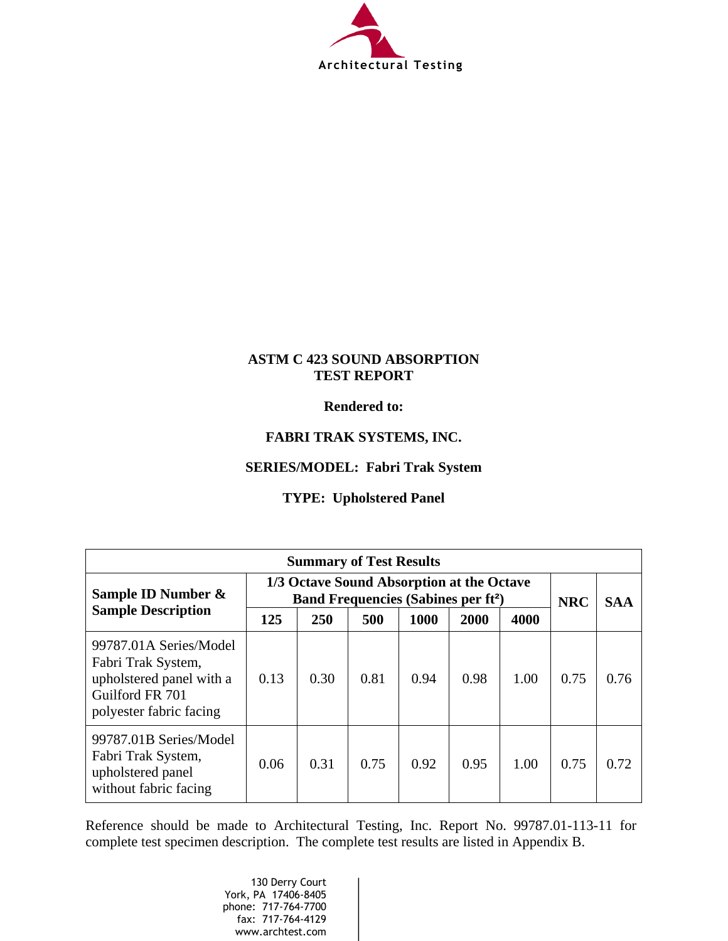

## **ASTM C 423 SOUND ABSORPTION TEST REPORT**

**Rendered to:** 

## **FABRI TRAK SYSTEMS, INC.**

## **SERIES/MODEL: Fabri Trak System**

## **TYPE: Upholstered Panel**

| <b>Summary of Test Results</b>                                                                                         |                                                                                                   |      |      |      |      |      |            |            |
|------------------------------------------------------------------------------------------------------------------------|---------------------------------------------------------------------------------------------------|------|------|------|------|------|------------|------------|
| Sample ID Number $\&$                                                                                                  | 1/3 Octave Sound Absorption at the Octave<br><b>Band Frequencies (Sabines per ft<sup>2</sup>)</b> |      |      |      |      |      | <b>NRC</b> | <b>SAA</b> |
| <b>Sample Description</b>                                                                                              | 125                                                                                               | 250  | 500  | 1000 | 2000 | 4000 |            |            |
| 99787.01A Series/Model<br>Fabri Trak System,<br>upholstered panel with a<br>Guilford FR 701<br>polyester fabric facing | 0.13                                                                                              | 0.30 | 0.81 | 0.94 | 0.98 | 1.00 | 0.75       | 0.76       |
| 99787.01B Series/Model<br>Fabri Trak System,<br>upholstered panel<br>without fabric facing                             | 0.06                                                                                              | 0.31 | 0.75 | 0.92 | 0.95 | 1.00 | 0.75       | 0.72       |

Reference should be made to Architectural Testing, Inc. Report No. 99787.01-113-11 for complete test specimen description. The complete test results are listed in Appendix B.

> 130 Derry Court York, PA 17406-8405 phone: 717-764-7700 fax: 717-764-4129 www.archtest.com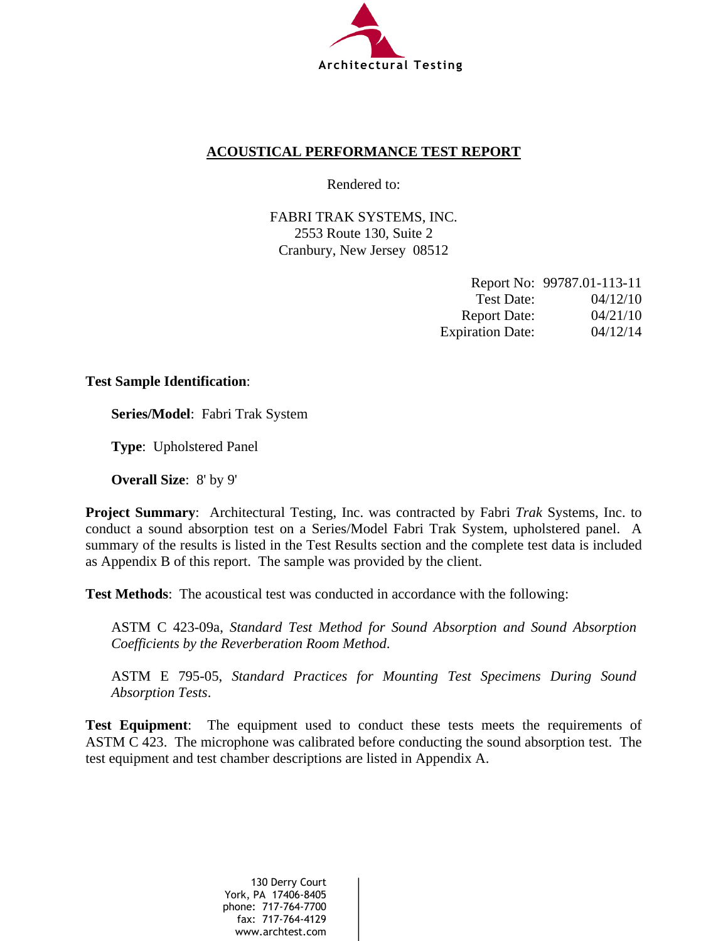

## **ACOUSTICAL PERFORMANCE TEST REPORT**

Rendered to:

FABRI TRAK SYSTEMS, INC. 2553 Route 130, Suite 2 Cranbury, New Jersey 08512

|                         | Report No: 99787.01-113-11 |
|-------------------------|----------------------------|
| Test Date:              | 04/12/10                   |
| <b>Report Date:</b>     | 04/21/10                   |
| <b>Expiration Date:</b> | 04/12/14                   |

#### **Test Sample Identification**:

**Series/Model**:Fabri Trak System

**Type**:Upholstered Panel

**Overall Size**:8' by 9'

**Project Summary**: Architectural Testing, Inc. was contracted by Fabri *Trak* Systems, Inc. to conduct a sound absorption test on a Series/Model Fabri Trak System, upholstered panel. A summary of the results is listed in the Test Results section and the complete test data is included as Appendix B of this report. The sample was provided by the client.

**Test Methods**: The acoustical test was conducted in accordance with the following:

ASTM C 423-09a, *Standard Test Method for Sound Absorption and Sound Absorption Coefficients by the Reverberation Room Method*.

ASTM E 795-05, *Standard Practices for Mounting Test Specimens During Sound Absorption Tests*.

**Test Equipment**: The equipment used to conduct these tests meets the requirements of ASTM C 423. The microphone was calibrated before conducting the sound absorption test. The test equipment and test chamber descriptions are listed in Appendix A.

> 130 Derry Court York, PA 17406-8405 phone: 717-764-7700 fax: 717-764-4129 www.archtest.com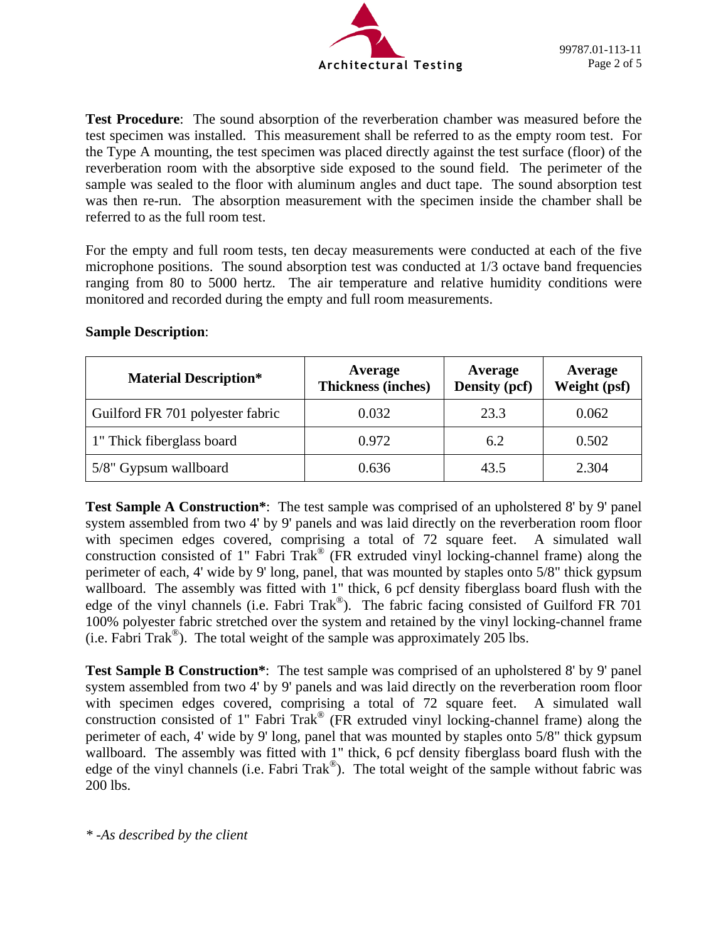

**Test Procedure**: The sound absorption of the reverberation chamber was measured before the test specimen was installed. This measurement shall be referred to as the empty room test. For the Type A mounting, the test specimen was placed directly against the test surface (floor) of the reverberation room with the absorptive side exposed to the sound field. The perimeter of the sample was sealed to the floor with aluminum angles and duct tape. The sound absorption test was then re-run. The absorption measurement with the specimen inside the chamber shall be referred to as the full room test.

For the empty and full room tests, ten decay measurements were conducted at each of the five microphone positions. The sound absorption test was conducted at 1/3 octave band frequencies ranging from 80 to 5000 hertz. The air temperature and relative humidity conditions were monitored and recorded during the empty and full room measurements.

| <b>Material Description*</b>     | Average<br><b>Thickness (inches)</b> | Average<br>Density (pcf) | Average<br>Weight (psf) |
|----------------------------------|--------------------------------------|--------------------------|-------------------------|
| Guilford FR 701 polyester fabric | 0.032                                | 23.3                     | 0.062                   |
| 1" Thick fiberglass board        | 0.972                                | 6.2                      | 0.502                   |
| 5/8" Gypsum wallboard            | 0.636                                | 43.5                     | 2.304                   |

#### **Sample Description**:

**Test Sample A Construction\***: The test sample was comprised of an upholstered 8' by 9' panel system assembled from two 4' by 9' panels and was laid directly on the reverberation room floor with specimen edges covered, comprising a total of 72 square feet. A simulated wall construction consisted of 1" Fabri Trak® (FR extruded vinyl locking-channel frame) along the perimeter of each, 4' wide by 9' long, panel, that was mounted by staples onto 5/8" thick gypsum wallboard. The assembly was fitted with 1" thick, 6 pcf density fiberglass board flush with the edge of the vinyl channels (i.e. Fabri Trak®). The fabric facing consisted of Guilford FR 701 100% polyester fabric stretched over the system and retained by the vinyl locking-channel frame (i.e. Fabri Trak<sup>®</sup>). The total weight of the sample was approximately 205 lbs.

**Test Sample B Construction\*:** The test sample was comprised of an upholstered 8' by 9' panel system assembled from two 4' by 9' panels and was laid directly on the reverberation room floor with specimen edges covered, comprising a total of 72 square feet. A simulated wall construction consisted of 1" Fabri Trak® (FR extruded vinyl locking-channel frame) along the perimeter of each, 4' wide by 9' long, panel that was mounted by staples onto 5/8" thick gypsum wallboard. The assembly was fitted with 1" thick, 6 pcf density fiberglass board flush with the edge of the vinyl channels (i.e. Fabri Trak<sup>®</sup>). The total weight of the sample without fabric was 200 lbs.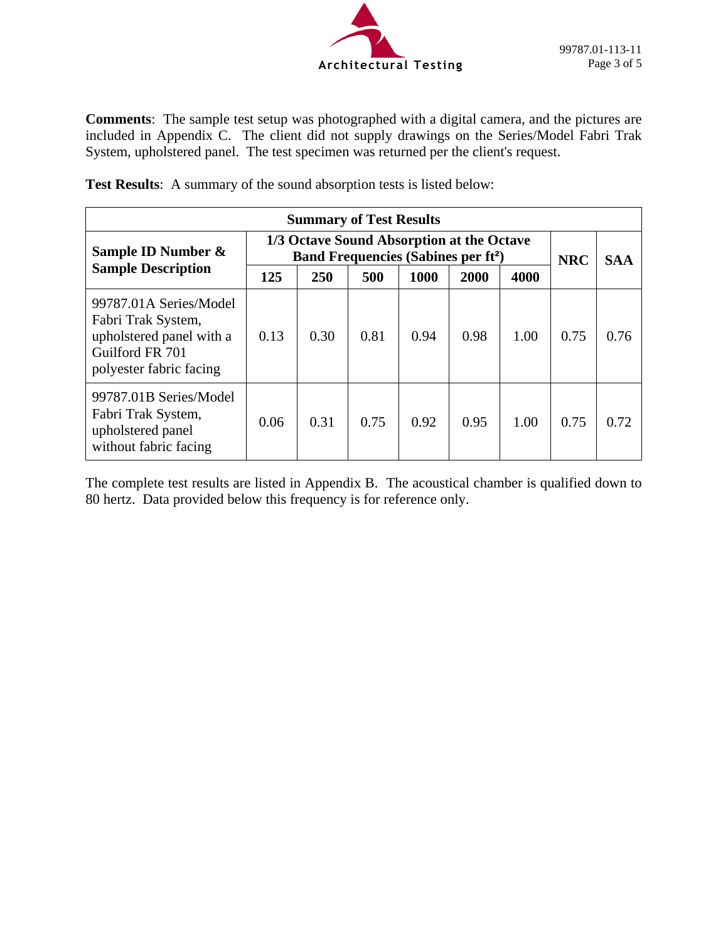

**Comments**: The sample test setup was photographed with a digital camera, and the pictures are included in Appendix C. The client did not supply drawings on the Series/Model Fabri Trak System, upholstered panel. The test specimen was returned per the client's request.

**Test Results**: A summary of the sound absorption tests is listed below:

| <b>Summary of Test Results</b>                                                                                         |                                                                                                   |      |      |      |      |      |            |            |
|------------------------------------------------------------------------------------------------------------------------|---------------------------------------------------------------------------------------------------|------|------|------|------|------|------------|------------|
| Sample ID Number &                                                                                                     | 1/3 Octave Sound Absorption at the Octave<br><b>Band Frequencies (Sabines per ft<sup>2</sup>)</b> |      |      |      |      |      | <b>NRC</b> | <b>SAA</b> |
| <b>Sample Description</b>                                                                                              | 125                                                                                               | 250  | 500  | 1000 | 2000 | 4000 |            |            |
| 99787.01A Series/Model<br>Fabri Trak System,<br>upholstered panel with a<br>Guilford FR 701<br>polyester fabric facing | 0.13                                                                                              | 0.30 | 0.81 | 0.94 | 0.98 | 1.00 | 0.75       | 0.76       |
| 99787.01B Series/Model<br>Fabri Trak System,<br>upholstered panel<br>without fabric facing                             | 0.06                                                                                              | 0.31 | 0.75 | 0.92 | 0.95 | 1.00 | 0.75       | 0.72       |

The complete test results are listed in Appendix B. The acoustical chamber is qualified down to 80 hertz. Data provided below this frequency is for reference only.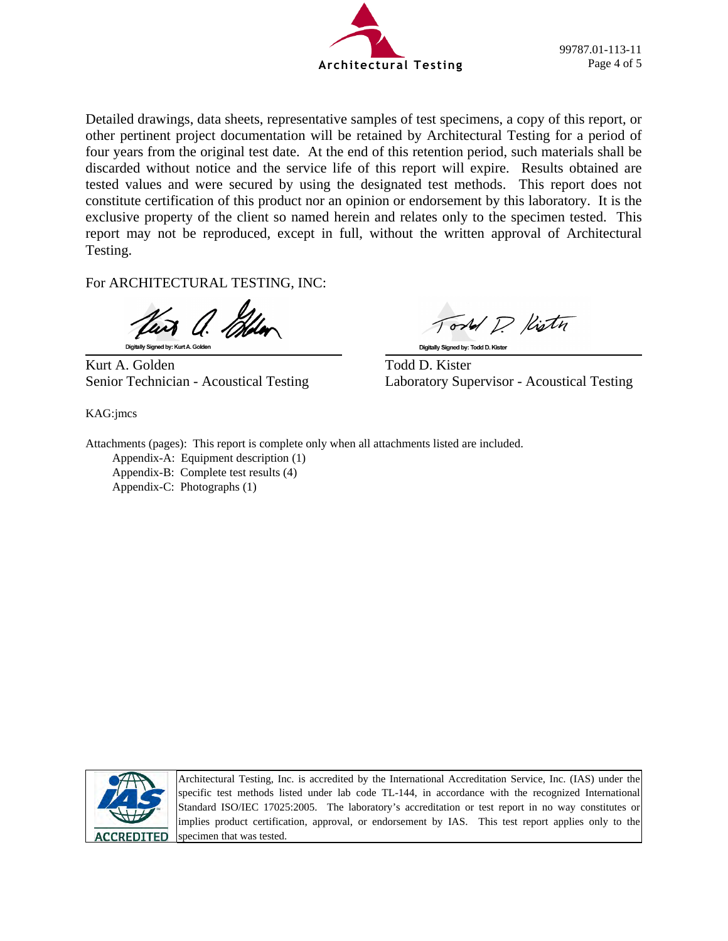

Detailed drawings, data sheets, representative samples of test specimens, a copy of this report, or other pertinent project documentation will be retained by Architectural Testing for a period of four years from the original test date. At the end of this retention period, such materials shall be discarded without notice and the service life of this report will expire. Results obtained are tested values and were secured by using the designated test methods. This report does not constitute certification of this product nor an opinion or endorsement by this laboratory. It is the exclusive property of the client so named herein and relates only to the specimen tested. This report may not be reproduced, except in full, without the written approval of Architectural Testing.

For ARCHITECTURAL TESTING, INC:

Digitally Signed by: Kurt A. Golder

Kurt A. Golden Todd D. Kister

KAG:jmcs

ond P. Kistn

Digitally Signed by: Todd D. Kister

Senior Technician - Acoustical Testing Laboratory Supervisor - Acoustical Testing

Attachments (pages): This report is complete only when all attachments listed are included. Appendix-A: Equipment description (1) Appendix-B: Complete test results (4) Appendix-C: Photographs (1)



Architectural Testing, Inc. is accredited by the International Accreditation Service, Inc. (IAS) under the specific test methods listed under lab code TL-144, in accordance with the recognized International Standard ISO/IEC 17025:2005. The laboratory's accreditation or test report in no way constitutes or implies product certification, approval, or endorsement by IAS. This test report applies only to the specimen that was tested.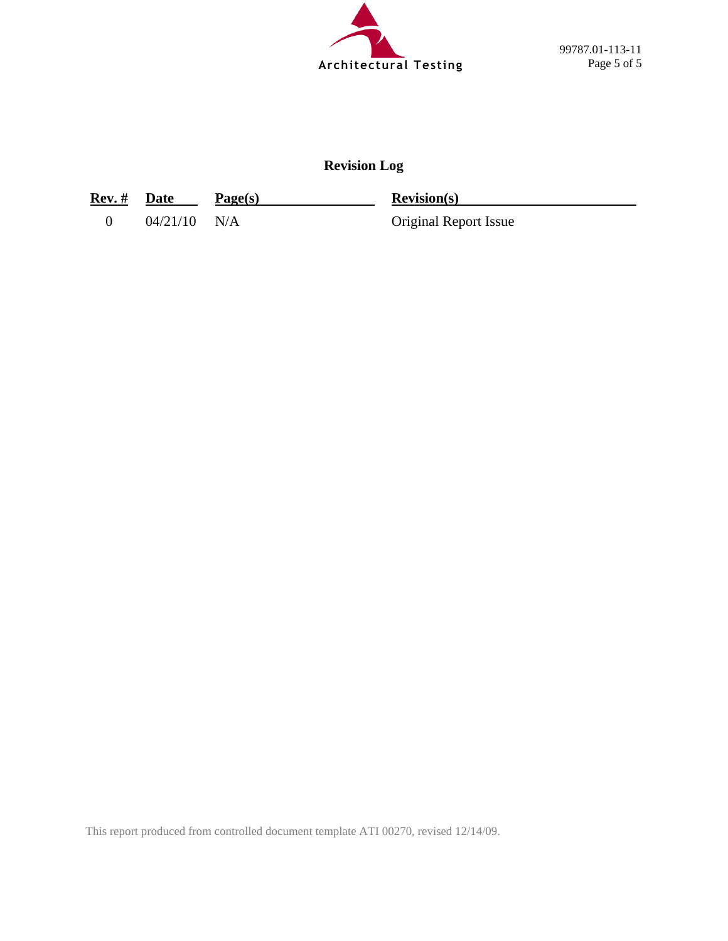

**Revision Log** 

**Rev. #** Date Page(s) Revision(s)

0 04/21/10 N/A Original Report Issue

This report produced from controlled document template ATI 00270, revised 12/14/09.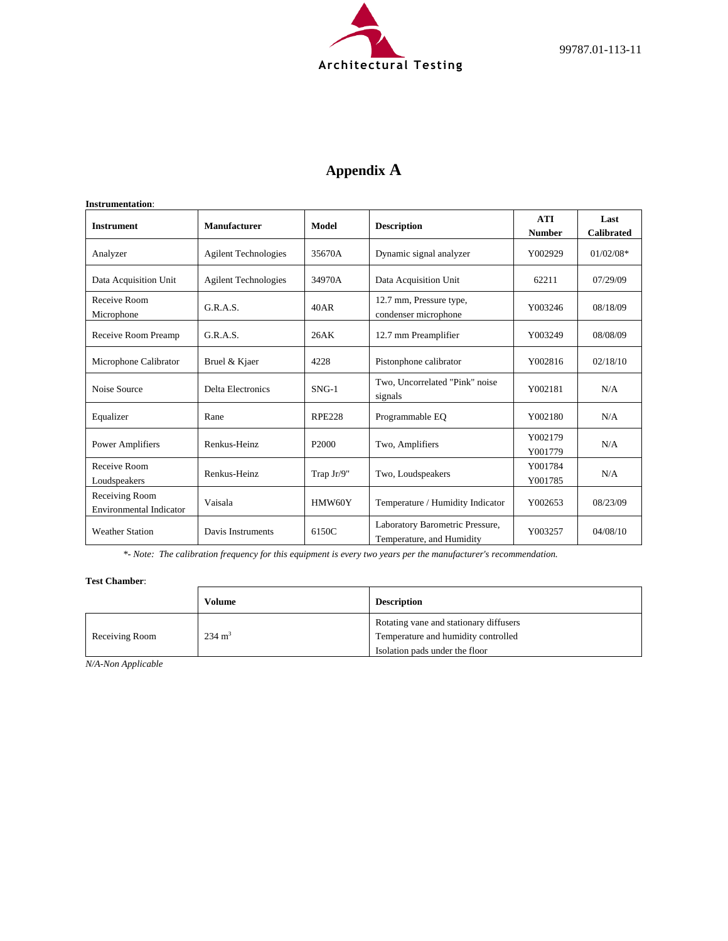

# **Appendix A**

| <b>Instrument</b>                                | Manufacturer                | Model             | <b>Description</b>                                                      | <b>ATI</b><br><b>Number</b> | Last<br><b>Calibrated</b> |
|--------------------------------------------------|-----------------------------|-------------------|-------------------------------------------------------------------------|-----------------------------|---------------------------|
| Analyzer                                         | <b>Agilent Technologies</b> | 35670A            | Dynamic signal analyzer                                                 | Y002929                     | $01/02/08*$               |
| Data Acquisition Unit                            | <b>Agilent Technologies</b> | 34970A            | Data Acquisition Unit                                                   | 62211                       | 07/29/09                  |
| Receive Room<br>Microphone                       | G.R.A.S.                    | 40AR              | 12.7 mm, Pressure type,<br>condenser microphone                         | Y003246                     | 08/18/09                  |
| Receive Room Preamp                              | G.R.A.S.                    | 26AK              | 12.7 mm Preamplifier                                                    | Y003249                     | 08/08/09                  |
| Microphone Calibrator                            | Bruel & Kjaer               | 4228              | Pistonphone calibrator                                                  | Y002816                     | 02/18/10                  |
| Noise Source                                     | <b>Delta Electronics</b>    | $SNG-1$           | Two, Uncorrelated "Pink" noise<br>signals                               | Y002181                     | N/A                       |
| Equalizer                                        | Rane                        | <b>RPE228</b>     | Programmable EO                                                         | Y002180                     | N/A                       |
| Power Amplifiers                                 | Renkus-Heinz                | P <sub>2000</sub> | Two, Amplifiers                                                         | Y002179<br>Y001779          | N/A                       |
| Receive Room<br>Loudspeakers                     | Renkus-Heinz                | Trap Jr/9"        | Two, Loudspeakers                                                       | Y001784<br>Y001785          | N/A                       |
| Receiving Room<br><b>Environmental Indicator</b> | Vaisala                     | HMW60Y            | Temperature / Humidity Indicator                                        | Y002653                     | 08/23/09                  |
| <b>Weather Station</b>                           | Davis Instruments           | 6150C             | Laboratory Barometric Pressure,<br>Y003257<br>Temperature, and Humidity |                             | 04/08/10                  |

*\*- Note: The calibration frequency for this equipment is every two years per the manufacturer's recommendation.*

#### **Test Chamber**:

|                | Volume            | <b>Description</b>                                                                                              |
|----------------|-------------------|-----------------------------------------------------------------------------------------------------------------|
| Receiving Room | $234 \text{ m}^3$ | Rotating vane and stationary diffusers<br>Temperature and humidity controlled<br>Isolation pads under the floor |

*N/A-Non Applicable*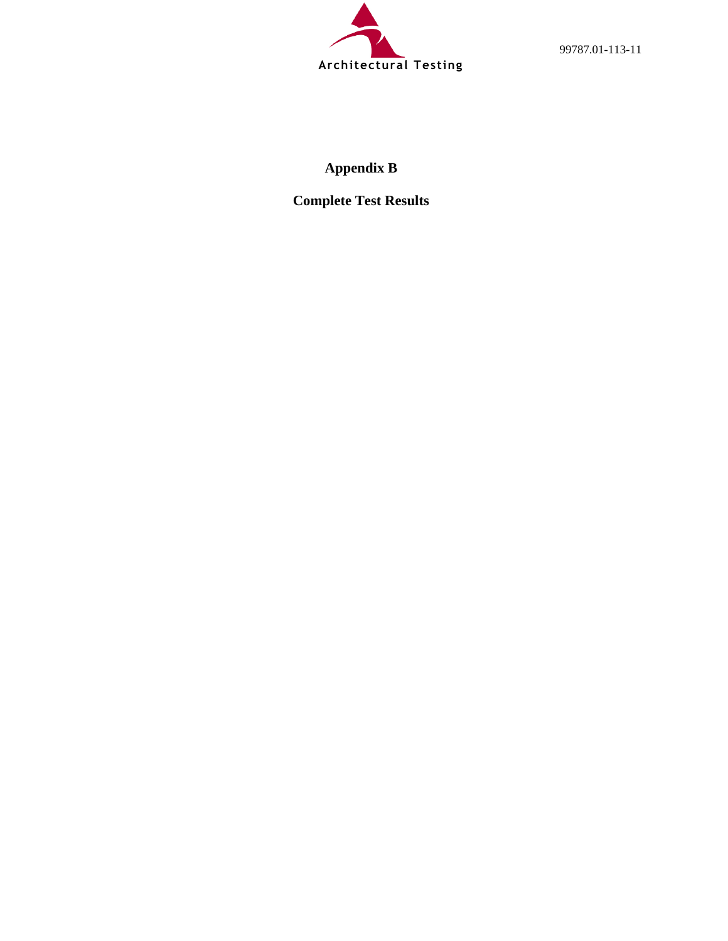

99787.01-113-11

# **Appendix B**

**Complete Test Results**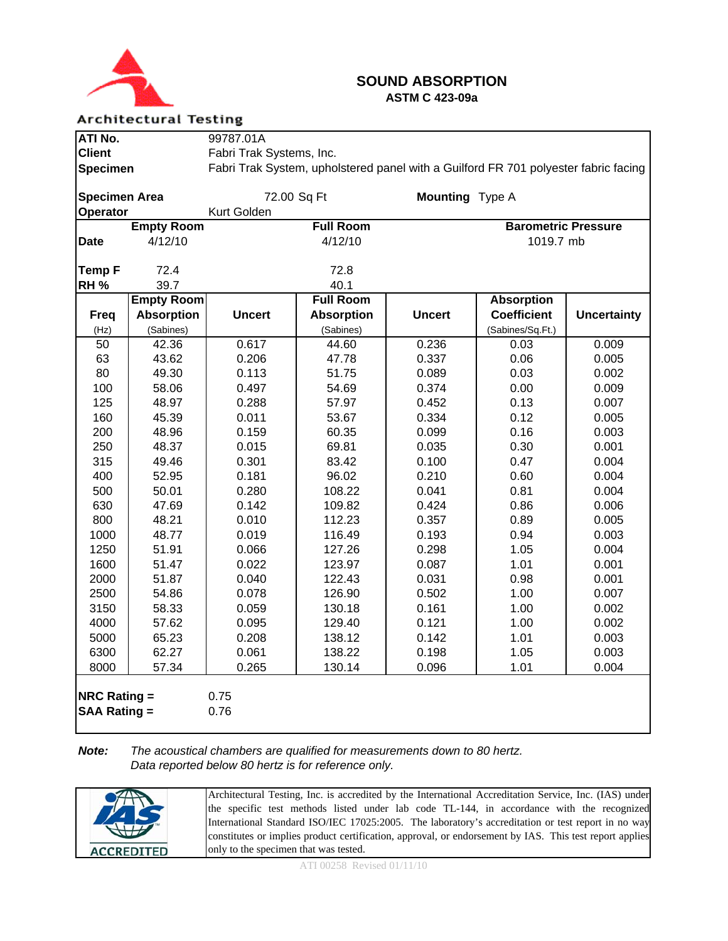

## **SOUND ABSORPTION ASTM C 423-09a**

#### **Architectural Testing**

| ATI No.                                    |                   | 99787.01A                |                                                                                     |                        |                            |                    |  |
|--------------------------------------------|-------------------|--------------------------|-------------------------------------------------------------------------------------|------------------------|----------------------------|--------------------|--|
| <b>Client</b>                              |                   | Fabri Trak Systems, Inc. |                                                                                     |                        |                            |                    |  |
| <b>Specimen</b>                            |                   |                          | Fabri Trak System, upholstered panel with a Guilford FR 701 polyester fabric facing |                        |                            |                    |  |
|                                            |                   |                          |                                                                                     |                        |                            |                    |  |
| <b>Specimen Area</b>                       |                   |                          | 72.00 Sq Ft                                                                         | <b>Mounting</b> Type A |                            |                    |  |
| Operator                                   |                   | Kurt Golden              |                                                                                     |                        |                            |                    |  |
|                                            | <b>Empty Room</b> |                          | <b>Full Room</b>                                                                    |                        | <b>Barometric Pressure</b> |                    |  |
| <b>Date</b>                                | 4/12/10           |                          | 4/12/10                                                                             |                        | 1019.7 mb                  |                    |  |
|                                            |                   |                          |                                                                                     |                        |                            |                    |  |
| <b>Temp F</b>                              | 72.4              |                          | 72.8                                                                                |                        |                            |                    |  |
| <b>RH %</b>                                | 39.7              |                          | 40.1                                                                                |                        |                            |                    |  |
|                                            | <b>Empty Room</b> |                          | <b>Full Room</b>                                                                    |                        | <b>Absorption</b>          |                    |  |
| <b>Freq</b>                                | <b>Absorption</b> | <b>Uncert</b>            | <b>Absorption</b>                                                                   | <b>Uncert</b>          | <b>Coefficient</b>         | <b>Uncertainty</b> |  |
| (Hz)                                       | (Sabines)         |                          | (Sabines)                                                                           |                        | (Sabines/Sq.Ft.)           |                    |  |
| 50                                         | 42.36             | 0.617                    | 44.60                                                                               | 0.236                  | 0.03                       | 0.009              |  |
| 63                                         | 43.62             | 0.206                    | 47.78                                                                               | 0.337                  | 0.06                       | 0.005              |  |
| 80                                         | 49.30             | 0.113                    | 51.75                                                                               | 0.089                  | 0.03                       | 0.002              |  |
| 100                                        | 58.06             | 0.497                    | 54.69                                                                               | 0.374                  | 0.00                       | 0.009              |  |
| 125                                        | 48.97             | 0.288                    | 57.97                                                                               | 0.452                  | 0.13                       | 0.007              |  |
| 160                                        | 45.39             | 0.011                    | 53.67                                                                               | 0.334                  | 0.12                       | 0.005              |  |
| 200                                        | 48.96             | 0.159                    | 60.35                                                                               | 0.099                  | 0.16                       | 0.003              |  |
| 250                                        | 48.37             | 0.015                    | 69.81                                                                               | 0.035                  | 0.30                       | 0.001              |  |
| 315                                        | 49.46             | 0.301                    | 83.42                                                                               | 0.100                  | 0.47                       | 0.004              |  |
| 400                                        | 52.95             | 0.181                    | 96.02                                                                               | 0.210                  | 0.60                       | 0.004              |  |
| 500                                        | 50.01             | 0.280                    | 108.22                                                                              | 0.041                  | 0.81                       | 0.004              |  |
| 630                                        | 47.69             | 0.142                    | 109.82                                                                              | 0.424                  | 0.86                       | 0.006              |  |
| 800                                        | 48.21             | 0.010                    | 112.23                                                                              | 0.357                  | 0.89                       | 0.005              |  |
| 1000                                       | 48.77             | 0.019                    | 116.49                                                                              | 0.193                  | 0.94                       | 0.003              |  |
| 1250                                       | 51.91             | 0.066                    | 127.26                                                                              | 0.298                  | 1.05                       | 0.004              |  |
| 1600                                       | 51.47             | 0.022                    | 123.97                                                                              | 0.087                  | 1.01                       | 0.001              |  |
| 2000                                       | 51.87             | 0.040                    | 122.43                                                                              | 0.031                  | 0.98                       | 0.001              |  |
| 2500                                       | 54.86             | 0.078                    | 126.90                                                                              | 0.502                  | 1.00                       | 0.007              |  |
| 3150                                       | 58.33             | 0.059                    | 130.18                                                                              | 0.161                  | 1.00                       | 0.002              |  |
| 4000                                       | 57.62             | 0.095                    | 129.40                                                                              | 0.121                  | 1.00                       | 0.002              |  |
| 5000                                       | 65.23             | 0.208                    | 138.12                                                                              | 0.142                  | 1.01                       | 0.003              |  |
| 6300                                       | 62.27             | 0.061                    | 138.22                                                                              | 0.198                  | 1.05                       | 0.003              |  |
| 8000                                       | 57.34             | 0.265                    | 130.14                                                                              | 0.096                  | 1.01                       | 0.004              |  |
| <b>NRC Rating =</b><br><b>SAA Rating =</b> |                   | 0.75<br>0.76             |                                                                                     |                        |                            |                    |  |

#### *Note: The acoustical chambers are qualified for measurements down to 80 hertz. Data reported below 80 hertz is for reference only.*

|                   | Architectural Testing, Inc. is accredited by the International Accreditation Service, Inc. (IAS) under<br>the specific test methods listed under lab code TL-144, in accordance with the recognized<br>International Standard ISO/IEC 17025:2005. The laboratory's accreditation or test report in no way<br>constitutes or implies product certification, approval, or endorsement by IAS. This test report applies |
|-------------------|----------------------------------------------------------------------------------------------------------------------------------------------------------------------------------------------------------------------------------------------------------------------------------------------------------------------------------------------------------------------------------------------------------------------|
|                   |                                                                                                                                                                                                                                                                                                                                                                                                                      |
| <b>ACCREDITED</b> | only to the specimen that was tested.                                                                                                                                                                                                                                                                                                                                                                                |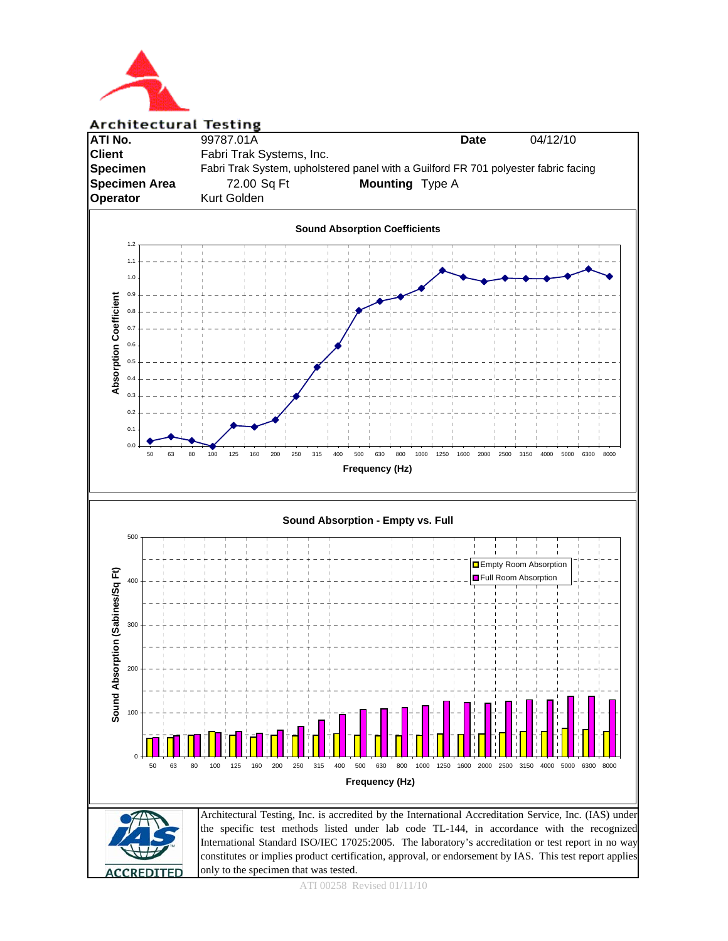

#### **Architectural Testing**





ATI 00258 Revised 01/11/10

only to the specimen that was tested.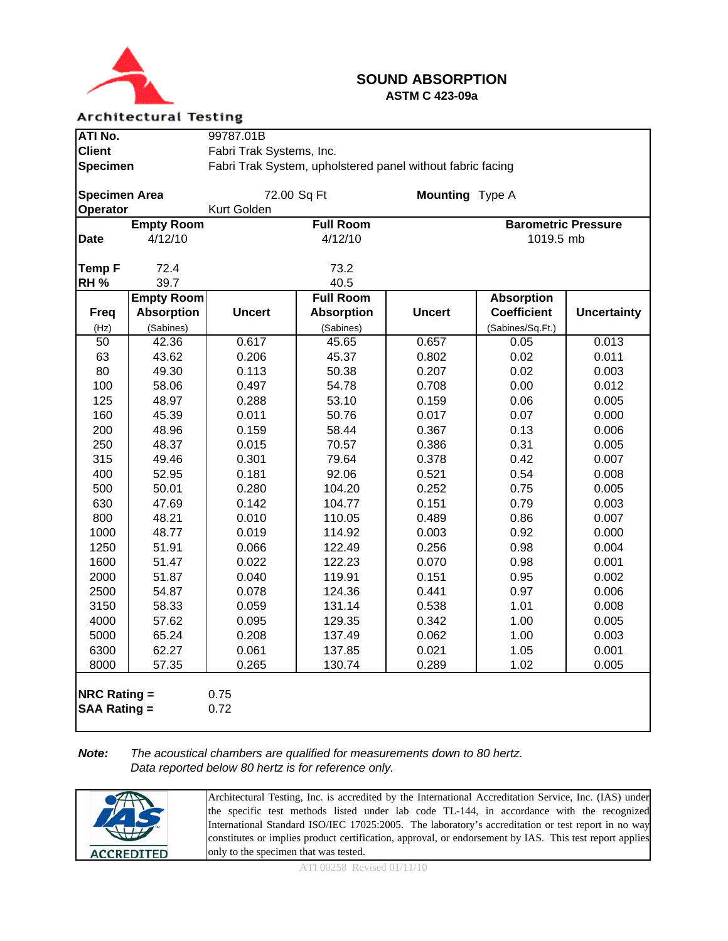

#### **SOUND ABSORPTION ASTM C 423-09a**

#### **Architectural Testing**

| ATI No.                                    |                   | 99787.01B                |                                                            |                 |                            |                    |  |
|--------------------------------------------|-------------------|--------------------------|------------------------------------------------------------|-----------------|----------------------------|--------------------|--|
| <b>Client</b>                              |                   | Fabri Trak Systems, Inc. |                                                            |                 |                            |                    |  |
| <b>Specimen</b>                            |                   |                          | Fabri Trak System, upholstered panel without fabric facing |                 |                            |                    |  |
|                                            |                   |                          |                                                            |                 |                            |                    |  |
| <b>Specimen Area</b>                       |                   | 72.00 Sq Ft              |                                                            | Mounting Type A |                            |                    |  |
| Operator                                   |                   | Kurt Golden              |                                                            |                 |                            |                    |  |
|                                            | <b>Empty Room</b> |                          | <b>Full Room</b>                                           |                 | <b>Barometric Pressure</b> |                    |  |
| <b>Date</b>                                | 4/12/10           |                          | 4/12/10                                                    |                 | 1019.5 mb                  |                    |  |
|                                            |                   |                          |                                                            |                 |                            |                    |  |
| <b>Temp F</b>                              | 72.4              |                          | 73.2                                                       |                 |                            |                    |  |
| RH <sub>%</sub>                            | 39.7              |                          | 40.5                                                       |                 |                            |                    |  |
|                                            | <b>Empty Room</b> |                          | <b>Full Room</b>                                           |                 | <b>Absorption</b>          |                    |  |
| <b>Freq</b>                                | <b>Absorption</b> | <b>Uncert</b>            | <b>Absorption</b>                                          | <b>Uncert</b>   | <b>Coefficient</b>         | <b>Uncertainty</b> |  |
| (Hz)                                       | (Sabines)         |                          | (Sabines)                                                  |                 | (Sabines/Sq.Ft.)           |                    |  |
| $\overline{50}$                            | 42.36             | 0.617                    | 45.65                                                      | 0.657           | 0.05                       | 0.013              |  |
| 63                                         | 43.62             | 0.206                    | 45.37                                                      | 0.802           | 0.02                       | 0.011              |  |
| 80                                         | 49.30             | 0.113                    | 50.38                                                      | 0.207           | 0.02                       | 0.003              |  |
| 100                                        | 58.06             | 0.497                    | 54.78                                                      | 0.708           | 0.00                       | 0.012              |  |
| 125                                        | 48.97             | 0.288                    | 53.10                                                      | 0.159           | 0.06                       | 0.005              |  |
| 160                                        | 45.39             | 0.011                    | 50.76                                                      | 0.017           | 0.07                       | 0.000              |  |
| 200                                        | 48.96             | 0.159                    | 58.44                                                      | 0.367           | 0.13                       | 0.006              |  |
| 250                                        | 48.37             | 0.015                    | 70.57                                                      | 0.386           | 0.31                       | 0.005              |  |
| 315                                        | 49.46             | 0.301                    | 79.64                                                      | 0.378           | 0.42                       | 0.007              |  |
| 400                                        | 52.95             | 0.181                    | 92.06                                                      | 0.521           | 0.54                       | 0.008              |  |
| 500                                        | 50.01             | 0.280                    | 104.20                                                     | 0.252           | 0.75                       | 0.005              |  |
| 630                                        | 47.69             | 0.142                    | 104.77                                                     | 0.151           | 0.79                       | 0.003              |  |
| 800                                        | 48.21             | 0.010                    | 110.05                                                     | 0.489           | 0.86                       | 0.007              |  |
| 1000                                       | 48.77             | 0.019                    | 114.92                                                     | 0.003           | 0.92                       | 0.000              |  |
| 1250                                       | 51.91             | 0.066                    | 122.49                                                     | 0.256           | 0.98                       | 0.004              |  |
| 1600                                       | 51.47             | 0.022                    | 122.23<br>119.91                                           | 0.070           | 0.98                       | 0.001              |  |
| 2000                                       | 51.87<br>54.87    | 0.040<br>0.078           | 124.36                                                     | 0.151<br>0.441  | 0.95                       | 0.002<br>0.006     |  |
| 2500<br>3150                               |                   | 0.059                    |                                                            | 0.538           | 0.97                       | 0.008              |  |
| 4000                                       | 58.33<br>57.62    | 0.095                    | 131.14<br>129.35                                           | 0.342           | 1.01<br>1.00               | 0.005              |  |
| 5000                                       | 65.24             | 0.208                    | 137.49                                                     | 0.062           | 1.00                       | 0.003              |  |
| 6300                                       | 62.27             | 0.061                    | 137.85                                                     | 0.021           | 1.05                       | 0.001              |  |
| 8000                                       | 57.35             | 0.265                    | 130.74                                                     | 0.289           | 1.02                       | 0.005              |  |
|                                            |                   |                          |                                                            |                 |                            |                    |  |
| <b>NRC Rating =</b><br><b>SAA Rating =</b> |                   | 0.75<br>0.72             |                                                            |                 |                            |                    |  |

#### *Note: The acoustical chambers are qualified for measurements down to 80 hertz. Data reported below 80 hertz is for reference only.*

|                   | Architectural Testing, Inc. is accredited by the International Accreditation Service, Inc. (IAS) under<br>the specific test methods listed under lab code TL-144, in accordance with the recognized           |
|-------------------|---------------------------------------------------------------------------------------------------------------------------------------------------------------------------------------------------------------|
|                   | International Standard ISO/IEC 17025:2005. The laboratory's accreditation or test report in no way<br>constitutes or implies product certification, approval, or endorsement by IAS. This test report applies |
| <b>ACCREDITED</b> | only to the specimen that was tested.                                                                                                                                                                         |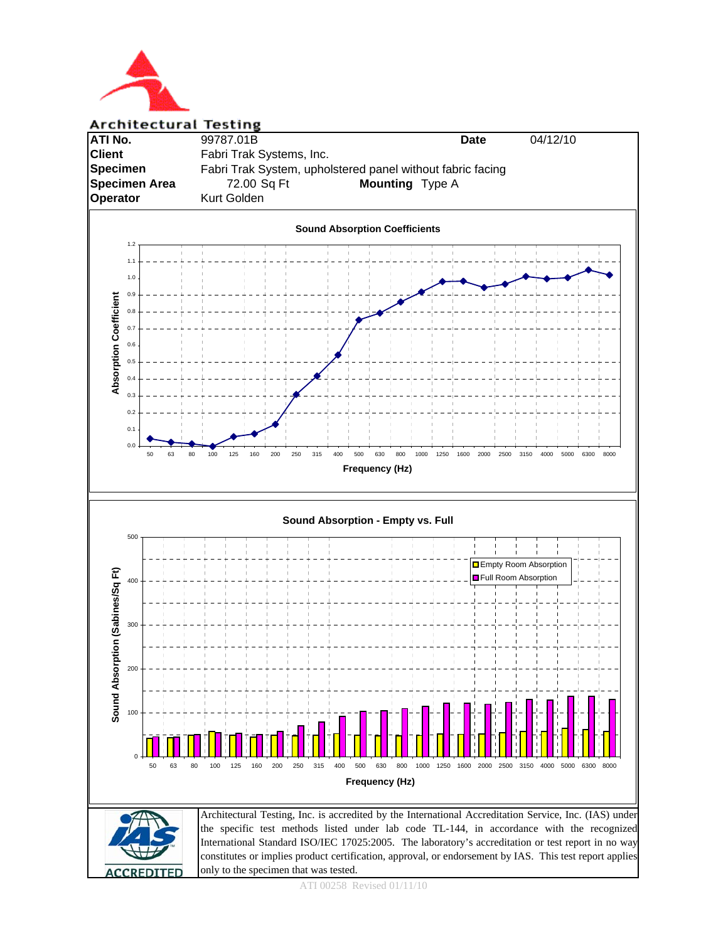

# **Architectural Testing ATI No.** 99787.01B **Date** 04/12/10 **Client** Fabri Trak Systems, Inc. **Specimen** Fabri Trak System, upholstered panel without fabric facing **Specimen Area** 72.00 Sq Ft **Mounting** Type A **Operator** Kurt Golden **Sound Absorption Coefficients** 1.2  $\ddot{ }$ 1.0 0.9 **Absorption Coefficient Absorption Coefficient** 0.8 0.7  $0.6$ 0.5  $0.4$  $\overline{0}$ . 0.2  $0.1$ 0.0 50 63 80 100 125 160 200 250 315 400 500 630 800 1000 1250 1600 2000 2500 3150 4000 5000 6300 8000 **Frequency (Hz) Sound Absorption - Empty vs. Full** 500 **Empty Room Absorption** Sound Absorption (Sabines/Sq Ft) **Sound Absorption (Sabines/Sq Ft) Full Room Absorption** 400 30 200